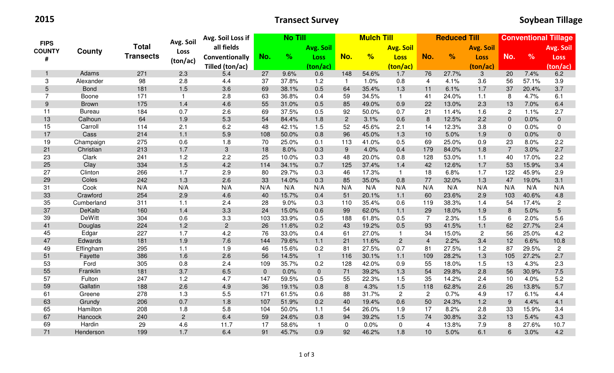2015

## Transect Survey

|                                   | County        | <b>Total</b>     | Avg. Soil      | <b>No Till</b><br>Avg. Soil Loss if |              |       |                |                | <b>Mulch Till</b> |                  | <b>Reduced Till</b> |       |                  |                | <b>Conventional Tillage</b> |                |  |
|-----------------------------------|---------------|------------------|----------------|-------------------------------------|--------------|-------|----------------|----------------|-------------------|------------------|---------------------|-------|------------------|----------------|-----------------------------|----------------|--|
| <b>FIPS</b><br><b>COUNTY</b><br># |               |                  | Loss           | all fields                          |              |       | Avg. Soil      |                |                   | <b>Avg. Soil</b> |                     |       | <b>Avg. Soil</b> |                |                             | Avg. Soil      |  |
|                                   |               | <b>Transects</b> |                | Conventionally                      | No.          | $\%$  | <b>Loss</b>    | No.            | %                 | <b>Loss</b>      | No.                 | %     | <b>Loss</b>      | No.            | $\frac{9}{6}$               | <b>Loss</b>    |  |
|                                   |               |                  | (ton/ac)       | Tilled (ton/ac)                     |              |       | (ton/ac)       |                |                   | (ton/ac)         |                     |       | (ton/ac)         |                |                             | (ton/ac)       |  |
| $\mathbf{1}$                      | Adams         | 271              | 2.3            | 5.4                                 | 27           | 9.6%  | 0.6            | 148            | 54.6%             | 1.7              | 76                  | 27.7% | $\sqrt{3}$       | 20             | 7.4%                        | 6.2            |  |
| 3                                 | Alexander     | 98               | 2.8            | 4.4                                 | 37           | 37.8% | 1.2            | $\overline{1}$ | 1.0%              | 0.8              | $\overline{4}$      | 4.1%  | 3.6              | 56             | 57.1%                       | 3.9            |  |
| 5                                 | <b>Bond</b>   | 181              | 1.5            | 3.6                                 | 69           | 38.1% | 0.5            | 64             | 35.4%             | 1.3              | 11                  | 6.1%  | 1.7              | 37             | 20.4%                       | 3.7            |  |
| $\overline{7}$                    | Boone         | 171              | $\mathbf{1}$   | 2.8                                 | 63           | 36.8% | 0.4            | 59             | 34.5%             | $\mathbf{1}$     | 41                  | 24.0% | 1.1              | 8              | 4.7%                        | 6.1            |  |
| $9\,$                             | <b>Brown</b>  | 175              | 1.4            | 4.6                                 | 55           | 31.0% | 0.5            | 85             | 49.0%             | 0.9              | 22                  | 13.0% | 2.3              | 13             | 7.0%                        | 6.4            |  |
| 11                                | <b>Bureau</b> | 184              | 0.7            | 2.6                                 | 69           | 37.5% | 0.5            | 92             | 50.0%             | 0.7              | 21                  | 11.4% | 1.6              | $\mathbf{2}$   | 1.1%                        | 2.7            |  |
| 13                                | Calhoun       | 64               | 1.9            | 5.3                                 | 54           | 84.4% | 1.8            | $\overline{c}$ | 3.1%              | 0.6              | 8                   | 12.5% | 2.2              | $\overline{0}$ | 0.0%                        | $\mathbf 0$    |  |
| 15                                | Carroll       | 114              | 2.1            | 6.2                                 | 48           | 42.1% | 1.5            | 52             | 45.6%             | 2.1              | 14                  | 12.3% | 3.8              | 0              | 0.0%                        | $\mathbf 0$    |  |
| 17                                | Cass          | 214              | $1.1$          | 5.9                                 | 108          | 50.0% | 0.8            | 96             | 45.0%             | 1.3              | 10                  | 5.0%  | 1.9              | $\overline{0}$ | 0.0%                        | $\overline{0}$ |  |
| 19                                | Champaign     | 275              | 0.6            | 1.8                                 | 70           | 25.0% | 0.1            | 113            | 41.0%             | 0.5              | 69                  | 25.0% | 0.9              | 23             | 8.0%                        | 2.2            |  |
| 21                                | Christian     | 213              | 1.7            | 3                                   | 18           | 8.0%  | 0.3            | 9              | 4.0%              | 0.4              | 179                 | 84.0% | 1.8              | $\overline{7}$ | 3.0%                        | 2.7            |  |
| 23                                | Clark         | 241              | 1.2            | 2.2                                 | 25           | 10.0% | 0.3            | 48             | 20.0%             | 0.8              | 128                 | 53.0% | 1.1              | 40             | 17.0%                       | 2.2            |  |
| 25                                | Clay          | 334              | 1.5            | 4.2                                 | 114          | 34.1% | 0.7            | 125            | 37.4%             | 1.4              | 42                  | 12.6% | 1.7              | 53             | 15.9%                       | 3.4            |  |
| 27                                | Clinton       | 266              | 1.7            | 2.9                                 | 80           | 29.7% | 0.3            | 46             | 17.3%             | $\mathbf{1}$     | 18                  | 6.8%  | 1.7              | 122            | 45.9%                       | 2.9            |  |
| 29                                | Coles         | 242              | 1.3            | 2.6                                 | 33           | 14.0% | 0.3            | 85             | 35.0%             | 0.8              | 77                  | 32.0% | 1.3              | 47             | 19.0%                       | 3.1            |  |
| 31                                | Cook          | N/A              | N/A            | N/A                                 | N/A          | N/A   | N/A            | N/A            | N/A               | N/A              | N/A                 | N/A   | N/A              | N/A            | N/A                         | N/A            |  |
| 33                                | Crawford      | 254              | 2.9            | 4.6                                 | 40           | 15.7% | 0.4            | 51             | 20.1%             | 1.1              | 60                  | 23.6% | 2.9              | 103            | 40.6%                       | 4.8            |  |
| 35                                | Cumberland    | 311              | 1.1            | 2.4                                 | 28           | 9.0%  | 0.3            | 110            | 35.4%             | 0.6              | 119                 | 38.3% | 1.4              | 54             | 17.4%                       | $\overline{2}$ |  |
| 37                                | DeKalb        | 160              | 1.4            | 3.3                                 | 24           | 15.0% | 0.6            | 99             | 62.0%             | 1.1              | 29                  | 18.0% | 1.9              | 8              | 5.0%                        | 5              |  |
| 39                                | <b>DeWitt</b> | 304              | 0.6            | 3.3                                 | 103          | 33.9% | 0.5            | 188            | 61.8%             | 0.5              | $\overline{7}$      | 2.3%  | 1.5              | 6              | 2.0%                        | 5.6            |  |
| 41                                | Douglas       | 224              | 1.2            | $\overline{c}$                      | 26           | 11.6% | 0.2            | 43             | 19.2%             | 0.5              | 93                  | 41.5% | $1.1$            | 62             | 27.7%                       | 2.4            |  |
| 45                                | Edgar         | 227              | 1.7            | 4.2                                 | 76           | 33.0% | 0.4            | 61             | 27.0%             | $\mathbf{1}$     | 34                  | 15.0% | $\overline{2}$   | 56             | 25.0%                       | 4.2            |  |
| 47                                | Edwards       | 181              | 1.9            | 7.6                                 | 144          | 79.6% | $1.1$          | 21             | 11.6%             | $2^{\circ}$      | $\overline{4}$      | 2.2%  | 3.4              | 12             | 6.6%                        | 10.8           |  |
| 49                                | Effingham     | 295              | 1.1            | 1.9                                 | 46           | 15.6% | 0.2            | 81             | 27.5%             | 0.7              | 81                  | 27.5% | 1.2              | 87             | 29.5%                       | $\overline{2}$ |  |
| 51                                | Fayette       | 386              | 1.6            | 2.6                                 | 56           | 14.5% | $\overline{1}$ | 116            | 30.1%             | 1.1              | 109                 | 28.2% | 1.3              | 105            | 27.2%                       | 2.7            |  |
| 53                                | Ford          | 305              | 0.8            | 2.4                                 | 109          | 35.7% | 0.2            | 128            | 42.0%             | 0.9              | 55                  | 18.0% | 1.5              | 13             | 4.3%                        | 2.3            |  |
| 55                                | Franklin      | 181              | 3.7            | 6.5                                 | $\mathbf{0}$ | 0.0%  | $\overline{0}$ | 71             | 39.2%             | 1.3              | 54                  | 29.8% | 2.8              | 56             | 30.9%                       | 7.5            |  |
| 57                                | Fulton        | 247              | 1.2            | 4.7                                 | 147          | 59.5% | 0.5            | 55             | 22.3%             | 1.5              | 35                  | 14.2% | 2.4              | 10             | 4.0%                        | 5.2            |  |
| 59                                | Gallatin      | 188              | 2.6            | 4.9                                 | 36           | 19.1% | 0.8            | 8              | 4.3%              | 1.5              | 118                 | 62.8% | 2.6              | 26             | 13.8%                       | 5.7            |  |
| 61                                | Greene        | 278              | 1.3            | 5.5                                 | 171          | 61.5% | 0.6            | 88             | 31.7%             | $\overline{2}$   | $\overline{2}$      | 0.7%  | 4.9              | 17             | 6.1%                        | 4.4            |  |
| 63                                | Grundy        | 206              | 0.7            | 1.8                                 | 107          | 51.9% | 0.2            | 40             | 19.4%             | 0.6              | 50                  | 24.3% | 1.2              | 9              | 4.4%                        | 4.1            |  |
| 65                                | Hamilton      | 208              | 1.8            | 5.8                                 | 104          | 50.0% | 1.1            | 54             | 26.0%             | 1.9              | 17                  | 8.2%  | 2.8              | 33             | 15.9%                       | 3.4            |  |
| 67                                | Hancock       | 240              | $\overline{2}$ | 6.4                                 | 59           | 24.6% | 0.8            | 94             | 39.2%             | 1.5              | 74                  | 30.8% | 3.2              | 13             | 5.4%                        | 4.3            |  |
| 69                                | Hardin        | 29               | 4.6            | 11.7                                | 17           | 58.6% | $\overline{1}$ | 0              | 0.0%              | $\mathbf 0$      | $\overline{4}$      | 13.8% | 7.9              | 8              | 27.6%                       | 10.7           |  |
| 71                                | Henderson     | 199              | 1.7            | 6.4                                 | 91           | 45.7% | 0.9            | 92             | 46.2%             | 1.8              | 10                  | 5.0%  | 6.1              | 6              | 3.0%                        | 4.2            |  |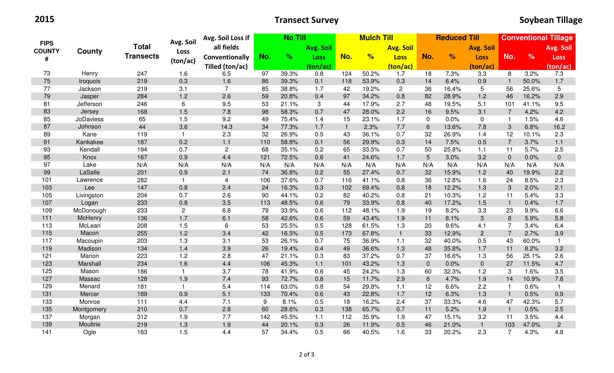2015

## Transect Survey

| <b>FIPS</b><br><b>COUNTY</b><br># | County           | <b>Total</b><br><b>Transects</b> | Avg. Soil      | <b>No Till</b><br>Avg. Soil Loss if |     |       | <b>Mulch Till</b> |              |                  | <b>Reduced Till</b> |                 |       |                  | <b>Conventional Tillage</b> |               |                |
|-----------------------------------|------------------|----------------------------------|----------------|-------------------------------------|-----|-------|-------------------|--------------|------------------|---------------------|-----------------|-------|------------------|-----------------------------|---------------|----------------|
|                                   |                  |                                  | <b>Loss</b>    | all fields                          |     |       | Avg. Soil         |              | <b>Avg. Soil</b> |                     |                 |       | <b>Avg. Soil</b> |                             |               | Avg. Soil      |
|                                   |                  |                                  |                | Conventionally                      | No. | $\%$  | <b>Loss</b>       | No.          | %                | <b>Loss</b>         | No.             | %     | <b>Loss</b>      | No.                         | $\frac{9}{6}$ | <b>Loss</b>    |
|                                   |                  |                                  | (ton/ac)       | Tilled (ton/ac)                     |     |       | (ton/ac)          |              |                  | (ton/ac)            |                 |       | (ton/ac)         |                             |               | (ton/ac)       |
| 73                                | Henry            | 247                              | 1.6            | 6.5                                 | 97  | 39.3% | 0.8               | 124          | 50.2%            | 1.7                 | 18              | 7.3%  | 3.3              | 8                           | 3.2%          | 7.3            |
| 75                                | Iroquois         | 219                              | 0.3            | 1.6                                 | 86  | 39.3% | 0.1               | 118          | 53.9%            | 0.3                 | 14              | 6.4%  | 0.9              | $\mathbf{1}$                | 50.0%         | 1.7            |
| 77                                | Jackson          | 219                              | 3.1            | $\overline{7}$                      | 85  | 38.8% | 1.7               | 42           | 19.2%            | $\overline{2}$      | 36              | 16.4% | 5                | 56                          | 25.6%         | 5              |
| 79                                | Jasper           | 284                              | 1.2            | 2.6                                 | 59  | 20.8% | 0.4               | 97           | 34.2%            | 0.8                 | 82              | 28.9% | 1.2              | 46                          | 16.2%         | 2.9            |
| 81                                | Jefferson        | 246                              | 6              | 9.5                                 | 53  | 21.1% | 3                 | 44           | 17.9%            | 2.7                 | 48              | 19.5% | 5.1              | 101                         | 41.1%         | 9.5            |
| 83                                | Jersey           | 168                              | 1.5            | 7.8                                 | 98  | 58.3% | 0.7               | 47           | 28.0%            | 2.2                 | 16              | 9.5%  | 3.1              | $\overline{7}$              | 4.2%          | 4.2            |
| 85                                | <b>JoDaviess</b> | 65                               | 1.5            | 9.2                                 | 49  | 75.4% | 1.4               | 15           | 23.1%            | 1.7                 | $\mathbf 0$     | 0.0%  | $\pmb{0}$        |                             | 1.5%          | 4.6            |
| 87                                | Johnson          | 44                               | 3.6            | 14.3                                | 34  | 77.3% | 1.7               | $\mathbf{1}$ | 2.3%             | 7.7                 | $6\phantom{1}6$ | 13.6% | 7.8              | 3                           | 6.8%          | 16.2           |
| 89                                | Kane             | 119                              | $\mathbf{1}$   | 2.3                                 | 32  | 26.9% | 0.5               | 43           | 36.1%            | 0.7                 | 32              | 26.9% | 1.4              | 12                          | 10.1%         | 2.3            |
| 91                                | Kankakee         | 187                              | 0.2            | 1.1                                 | 110 | 58.8% | 0.1               | 56           | 29.9%            | 0.3                 | 14              | 7.5%  | 0.5              | $\overline{7}$              | 3.7%          | $1.1$          |
| 93                                | Kendall          | 194                              | 0.7            | $\overline{2}$                      | 68  | 35.1% | 0.2               | 65           | 33.5%            | 0.7                 | 50              | 25.8% | 1.1              | 11                          | 5.7%          | 2.5            |
| 95                                | Knox             | 167                              | 0.9            | 4.4                                 | 121 | 72.5% | 0.6               | 41           | 24.6%            | 1.7                 | $5\phantom{.}$  | 3.0%  | 3.2              | $\overline{0}$              | 0.0%          | $\mathbf 0$    |
| 97                                | Lake             | N/A                              | N/A            | N/A                                 | N/A | N/A   | N/A               | N/A          | N/A              | N/A                 | N/A             | N/A   | N/A              | N/A                         | N/A           | N/A            |
| 99                                | LaSalle          | 201                              | 0.9            | 2.1                                 | 74  | 36.8% | 0.2               | 55           | 27.4%            | 0.7                 | 32              | 15.9% | 1.2              | 40                          | 19.9%         | 2.2            |
| 101                               | Lawrence         | 282                              | $\mathbf{1}$   | $\overline{4}$                      | 106 | 37.6% | 0.7               | 116          | 41.1%            | 0.8                 | 36              | 12.8% | 1.6              | 24                          | 8.5%          | 2.3            |
| 103                               | Lee              | 147                              | 0.8            | 2.4                                 | 24  | 16.3% | 0.3               | 102          | 69.4%            | 0.8                 | 18              | 12.2% | 1.3              | 3                           | 2.0%          | 2.1            |
| 105                               | Livingston       | 204                              | 0.7            | 2.6                                 | 90  | 44.1% | 0.2               | 82           | 40.2%            | 0.8                 | 21              | 10.3% | 1.2              | 11                          | 5.4%          | 3.3            |
| 107                               | Logan            | 233                              | 0.8            | 3.5                                 | 113 | 48.5% | 0.6               | 79           | 33.9%            | 0.8                 | 40              | 17.2% | 1.5              | $\mathbf{1}$                | 0.4%          | 1.7            |
| 109                               | McDonough        | 233                              | $\overline{c}$ | 6.8                                 | 79  | 33.9% | 0.6               | 112          | 48.1%            | 1.9                 | 19              | 8.2%  | 3.3              | 23                          | 9.9%          | 6.6            |
| 111                               | McHenry          | 136                              | 1.7            | 6.1                                 | 58  | 42.6% | 0.6               | 59           | 43.4%            | 1.9                 | 11              | 8.1%  | 3                | 8                           | 5.9%          | 5.8            |
| 113                               | McLean           | 208                              | 1.5            | 6                                   | 53  | 25.5% | 0.5               | 128          | 61.5%            | 1.3                 | 20              | 9.6%  | 4.1              | 7                           | 3.4%          | 6.4            |
| 115                               | Macon            | 255                              | 1.2            | 3.4                                 | 42  | 16.5% | 0.5               | 173          | 67.8%            | $\mathbf{1}$        | 33              | 12.9% | $\overline{c}$   | $\overline{7}$              | 2.7%          | 3.9            |
| 117                               | Macoupin         | 203                              | 1.3            | 3.1                                 | 53  | 26.1% | 0.7               | 75           | 36.9%            | 1.1                 | 32              | 40.0% | 0.5              | 43                          | 60.0%         | $\mathbf{1}$   |
| 119                               | Madison          | 134                              | 1.4            | 3.9                                 | 26  | 19.4% | 0.4               | 49           | 36.6%            | 1.3                 | 48              | 35.8% | 1.7              | 11                          | 8.2%          | 3.2            |
| 121                               | Marion           | 223                              | 1.2            | 2.8                                 | 47  | 21.1% | 0.3               | 83           | 37.2%            | 0.7                 | 37              | 16.6% | 1.3              | 56                          | 25.1%         | 2.6            |
| 123                               | Marshall         | 234                              | 1.6            | 4.4                                 | 106 | 45.3% | 1.1               | 101          | 43.2%            | 1.3                 | $\mathbf{0}$    | 0.0%  | $\overline{0}$   | 27                          | 11.5%         | 4.7            |
| 125                               | Mason            | 186                              | $\mathbf{1}$   | 3.7                                 | 78  | 41.9% | 0.6               | 45           | 24.2%            | 1.3                 | 60              | 32.3% | 1.2              | 3                           | 1.6%          | 3.5            |
| 127                               | Massac           | 128                              | 1.9            | 7.4                                 | 93  | 72.7% | 0.8               | 15           | 11.7%            | 2.9                 | $\,6\,$         | 4.7%  | 1.9              | 14                          | 10.9%         | 7.8            |
| 129                               | Menard           | 181                              | 1              | 5.4                                 | 114 | 63.0% | 0.8               | 54           | 29.8%            | 1.1                 | 12              | 6.6%  | 2.2              |                             | 0.6%          | $\overline{1}$ |
| 131                               | Mercer           | 189                              | 0.9            | 5.1                                 | 133 | 70.4% | 0.6               | 43           | 22.8%            | 1.7                 | 12              | 6.3%  | 1.3              | $\mathbf 1$                 | 0.5%          | 0.9            |
| 133                               | Monroe           | 111                              | 4.4            | 7.1                                 | 9   | 8.1%  | 0.5               | 18           | 16.2%            | 2.4                 | 37              | 33.3% | 4.6              | 47                          | 42.3%         | 5.7            |
| 135                               | Montgomery       | 210                              | 0.7            | 2.8                                 | 60  | 28.6% | 0.3               | 138          | 65.7%            | 0.7                 | 11              | 5.2%  | 1.9              |                             | 0.5%          | 2.5            |
| 137                               | Morgan           | 312                              | 1.9            | 7.7                                 | 142 | 45.5% | 1.1               | 112          | 35.9%            | 1.9                 | 47              | 15.1% | 3.2              | 11                          | 3.5%          | 4.4            |
| 139                               | Moultrie         | 219                              | 1.3            | 1.9                                 | 44  | 20.1% | 0.3               | 26           | 11.9%            | 0.5                 | 46              | 21.0% | $\mathbf{1}$     | 103                         | 47.0%         | $\overline{2}$ |
| 141                               | Ogle             | 163                              | 1.5            | 4.4                                 | 57  | 34.4% | 0.5               | 66           | 40.5%            | 1.6                 | 33              | 20.2% | 2.3              | $\overline{7}$              | 4.3%          | 4.8            |